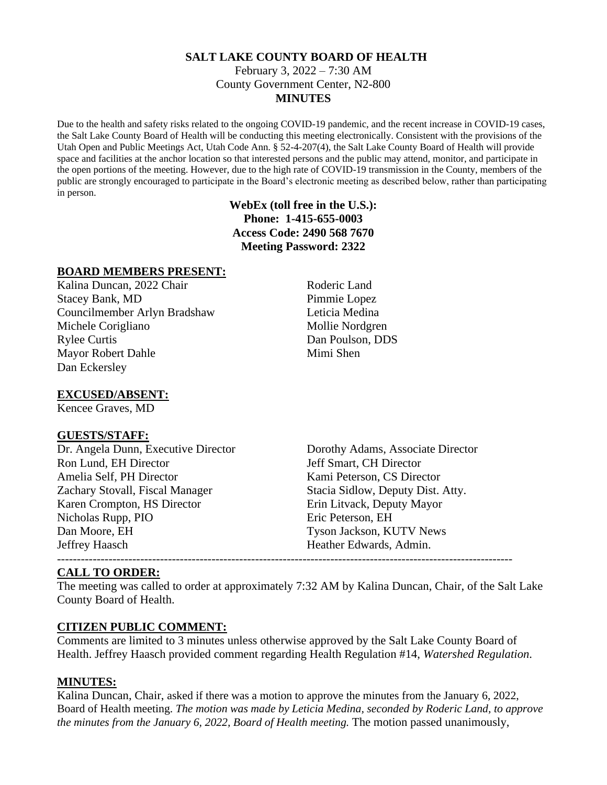#### **SALT LAKE COUNTY BOARD OF HEALTH** February 3, 2022 – 7:30 AM County Government Center, N2-800 **MINUTES**

Due to the health and safety risks related to the ongoing COVID-19 pandemic, and the recent increase in COVID-19 cases, the Salt Lake County Board of Health will be conducting this meeting electronically. Consistent with the provisions of the Utah Open and Public Meetings Act, Utah Code Ann. § 52-4-207(4), the Salt Lake County Board of Health will provide space and facilities at the anchor location so that interested persons and the public may attend, monitor, and participate in the open portions of the meeting. However, due to the high rate of COVID-19 transmission in the County, members of the public are strongly encouraged to participate in the Board's electronic meeting as described below, rather than participating in person.

### **WebEx (toll free in the U.S.): Phone: 1-415-655-0003 Access Code: 2490 568 7670 Meeting Password: 2322**

#### **BOARD MEMBERS PRESENT:**

Kalina Duncan, 2022 Chair Roderic Land Stacey Bank, MD Pimmie Lopez Councilmember Arlyn Bradshaw Leticia Medina Michele Corigliano Mollie Nordgren Rylee Curtis Dan Poulson, DDS Mayor Robert Dahle Mimi Shen Dan Eckersley

### **EXCUSED/ABSENT:**

Kencee Graves, MD

#### **GUESTS/STAFF:**

Dr. Angela Dunn, Executive Director Dorothy Adams, Associate Director Ron Lund, EH Director Jeff Smart, CH Director Amelia Self. PH Director **Kami Peterson, CS Director** Kami Peterson, CS Director Zachary Stovall, Fiscal Manager Stacia Sidlow, Deputy Dist. Atty. Karen Crompton, HS Director Erin Litvack, Deputy Mayor Nicholas Rupp, PIO Eric Peterson, EH Dan Moore, EH Tyson Jackson, KUTV News Jeffrey Haasch Heather Edwards, Admin. -------------------------------------------------------------------------------------------------------------------

#### **CALL TO ORDER:**

The meeting was called to order at approximately 7:32 AM by Kalina Duncan, Chair, of the Salt Lake County Board of Health.

#### **CITIZEN PUBLIC COMMENT:**

Comments are limited to 3 minutes unless otherwise approved by the Salt Lake County Board of Health. Jeffrey Haasch provided comment regarding Health Regulation #14, *Watershed Regulation*.

#### **MINUTES:**

Kalina Duncan, Chair, asked if there was a motion to approve the minutes from the January 6, 2022, Board of Health meeting. *The motion was made by Leticia Medina, seconded by Roderic Land, to approve the minutes from the January 6, 2022, Board of Health meeting.* The motion passed unanimously,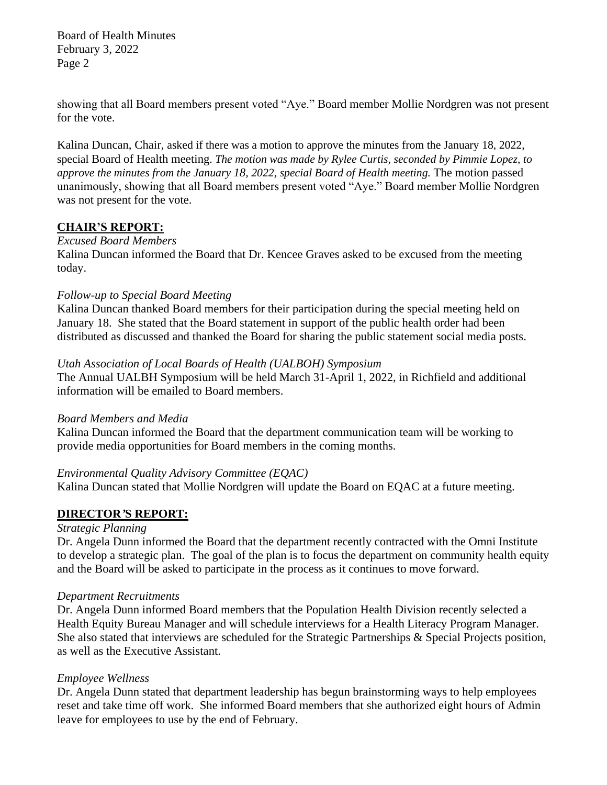Board of Health Minutes February 3, 2022 Page 2

showing that all Board members present voted "Aye." Board member Mollie Nordgren was not present for the vote.

Kalina Duncan, Chair, asked if there was a motion to approve the minutes from the January 18, 2022, special Board of Health meeting. *The motion was made by Rylee Curtis, seconded by Pimmie Lopez, to approve the minutes from the January 18, 2022, special Board of Health meeting.* The motion passed unanimously, showing that all Board members present voted "Aye." Board member Mollie Nordgren was not present for the vote.

#### **CHAIR'S REPORT:**

## *Excused Board Members*

Kalina Duncan informed the Board that Dr. Kencee Graves asked to be excused from the meeting today.

#### *Follow-up to Special Board Meeting*

Kalina Duncan thanked Board members for their participation during the special meeting held on January 18. She stated that the Board statement in support of the public health order had been distributed as discussed and thanked the Board for sharing the public statement social media posts.

### *Utah Association of Local Boards of Health (UALBOH) Symposium*

The Annual UALBH Symposium will be held March 31-April 1, 2022, in Richfield and additional information will be emailed to Board members.

#### *Board Members and Media*

Kalina Duncan informed the Board that the department communication team will be working to provide media opportunities for Board members in the coming months.

## *Environmental Quality Advisory Committee (EQAC)*

Kalina Duncan stated that Mollie Nordgren will update the Board on EQAC at a future meeting.

## **DIRECTOR***'***S REPORT:**

#### *Strategic Planning*

Dr. Angela Dunn informed the Board that the department recently contracted with the Omni Institute to develop a strategic plan. The goal of the plan is to focus the department on community health equity and the Board will be asked to participate in the process as it continues to move forward.

#### *Department Recruitments*

Dr. Angela Dunn informed Board members that the Population Health Division recently selected a Health Equity Bureau Manager and will schedule interviews for a Health Literacy Program Manager. She also stated that interviews are scheduled for the Strategic Partnerships & Special Projects position, as well as the Executive Assistant.

## *Employee Wellness*

Dr. Angela Dunn stated that department leadership has begun brainstorming ways to help employees reset and take time off work. She informed Board members that she authorized eight hours of Admin leave for employees to use by the end of February.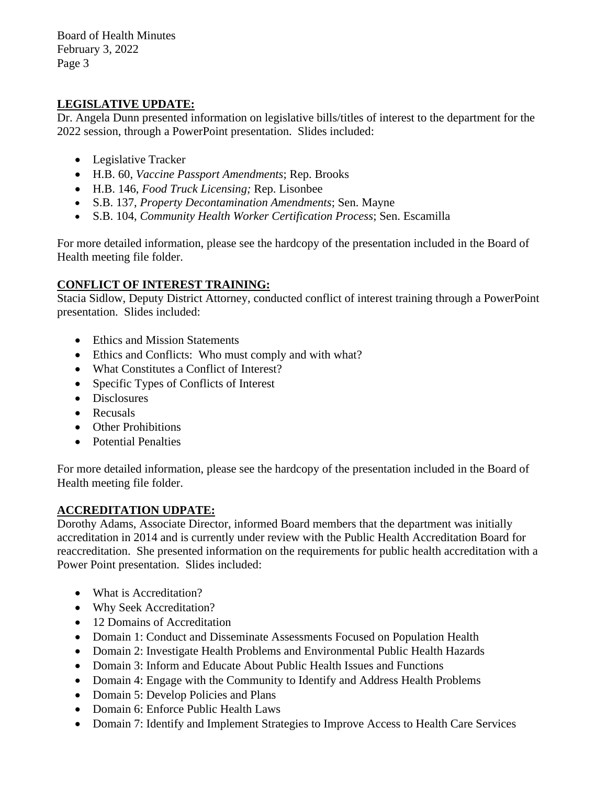Board of Health Minutes February 3, 2022 Page 3

# **LEGISLATIVE UPDATE:**

Dr. Angela Dunn presented information on legislative bills/titles of interest to the department for the 2022 session, through a PowerPoint presentation. Slides included:

- Legislative Tracker
- H.B. 60, *Vaccine Passport Amendments*; Rep. Brooks
- H.B. 146, *Food Truck Licensing;* Rep. Lisonbee
- S.B. 137, *Property Decontamination Amendments*; Sen. Mayne
- S.B. 104, *Community Health Worker Certification Process*; Sen. Escamilla

For more detailed information, please see the hardcopy of the presentation included in the Board of Health meeting file folder.

# **CONFLICT OF INTEREST TRAINING:**

Stacia Sidlow, Deputy District Attorney, conducted conflict of interest training through a PowerPoint presentation. Slides included:

- Ethics and Mission Statements
- Ethics and Conflicts: Who must comply and with what?
- What Constitutes a Conflict of Interest?
- Specific Types of Conflicts of Interest
- Disclosures
- Recusals
- Other Prohibitions
- Potential Penalties

For more detailed information, please see the hardcopy of the presentation included in the Board of Health meeting file folder.

## **ACCREDITATION UDPATE:**

Dorothy Adams, Associate Director, informed Board members that the department was initially accreditation in 2014 and is currently under review with the Public Health Accreditation Board for reaccreditation. She presented information on the requirements for public health accreditation with a Power Point presentation. Slides included:

- What is Accreditation?
- Why Seek Accreditation?
- 12 Domains of Accreditation
- Domain 1: Conduct and Disseminate Assessments Focused on Population Health
- Domain 2: Investigate Health Problems and Environmental Public Health Hazards
- Domain 3: Inform and Educate About Public Health Issues and Functions
- Domain 4: Engage with the Community to Identify and Address Health Problems
- Domain 5: Develop Policies and Plans
- Domain 6: Enforce Public Health Laws
- Domain 7: Identify and Implement Strategies to Improve Access to Health Care Services